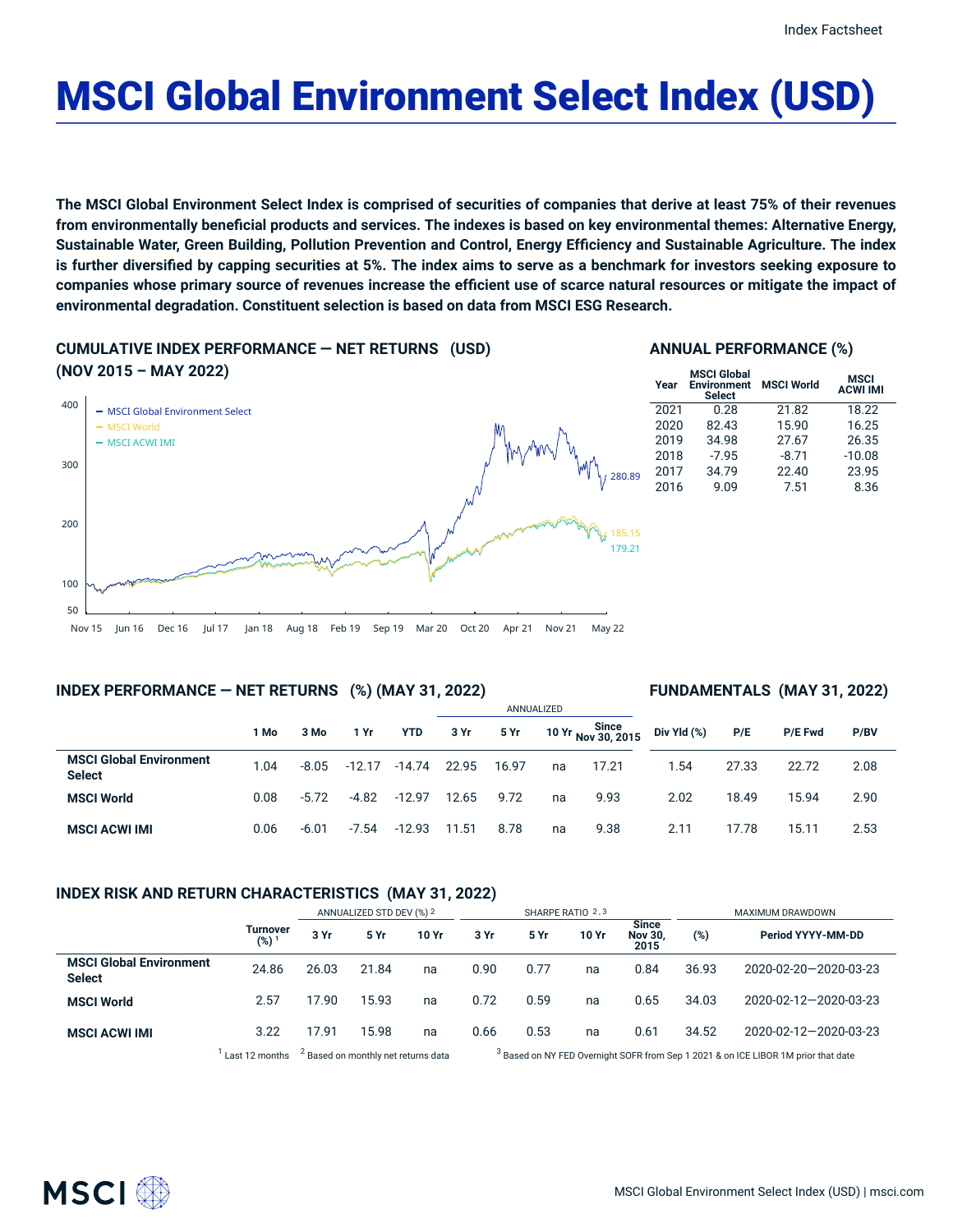# MSCI Global Environment Select Index (USD)

The MSCI Global Environment Select Index is comprised of securities of companies that derive at least 75% of their revenues from environmentally beneficial products and services. The indexes is based on key environmental themes: Alternative Energy, Sustainable Water, Green Building, Pollution Prevention and Control, Energy Efficiency and Sustainable Agriculture. The index is further diversified by capping securities at 5%. The index aims to serve as a benchmark for investors seeking exposure to companies whose primary source of revenues increase the efficient use of scarce natural resources or mitigate the impact of **environmental degradation. Constituent selection is based on data from MSCI ESG Research.**

# **CUMULATIVE INDEX PERFORMANCE — NET RETURNS (USD)**

## **ANNUAL PERFORMANCE (%)**



## **MSC**

| Year | <b>MSCI Global</b><br><b>Environment</b><br><b>Select</b> | <b>MSCI World</b> | <b>MSCI</b><br><b>ACWI IMI</b> |  |
|------|-----------------------------------------------------------|-------------------|--------------------------------|--|
| 2021 | 0.28                                                      | 21.82             | 18.22                          |  |
| 2020 | 82.43                                                     | 15.90             | 16.25                          |  |
| 2019 | 34.98                                                     | 27.67             | 26.35                          |  |
| 2018 | $-7.95$                                                   | $-8.71$           | $-10.08$                       |  |
| 2017 | 34.79                                                     | 22.40             | 23.95                          |  |
| 2016 | 9.09                                                      | 7.51              | 8.36                           |  |
|      |                                                           |                   |                                |  |

## **INDEX PERFORMANCE — NET RETURNS (%) (MAY 31, 2022)**

## **FUNDAMENTALS (MAY 31, 2022)**

|                                                 |      |         |          |            | ANNUALIZED |       |    |                             |             |       |                |      |  |
|-------------------------------------------------|------|---------|----------|------------|------------|-------|----|-----------------------------|-------------|-------|----------------|------|--|
|                                                 | 1 Mo | 3 Mo    | 1 Yr     | <b>YTD</b> | 3 Yr       | 5 Yr  |    | 10 Yr Since<br>Nov 30, 2015 | Div Yld (%) | P/E   | <b>P/E Fwd</b> | P/BV |  |
| <b>MSCI Global Environment</b><br><b>Select</b> | 1.04 | $-8.05$ | $-12.17$ | $-14.74$   | 22.95      | 16.97 | na | 17.21                       | 1.54        | 27.33 | 22.72          | 2.08 |  |
| <b>MSCI World</b>                               | 0.08 | $-5.72$ | $-4.82$  | $-12.97$   | 12.65      | 9.72  | na | 9.93                        | 2.02        | 18.49 | 15.94          | 2.90 |  |
| <b>MSCI ACWI IMI</b>                            | 0.06 | $-6.01$ | $-7.54$  | $-12.93$   | 11.51      | 8.78  | na | 9.38                        | 2.11        | 17.78 | 15.11          | 2.53 |  |

## **INDEX RISK AND RETURN CHARACTERISTICS (MAY 31, 2022)**

|                                                 |                     | ANNUALIZED STD DEV (%) 2 |       |       | SHARPE RATIO 2,3 |      |       |                                        | MAXIMUM DRAWDOWN |                       |  |
|-------------------------------------------------|---------------------|--------------------------|-------|-------|------------------|------|-------|----------------------------------------|------------------|-----------------------|--|
|                                                 | Turnover<br>$(%)^1$ | 3 Yr                     | 5 Yr  | 10 Yr | 3 Yr             | 5 Yr | 10 Yr | <b>Since</b><br><b>Nov 30.</b><br>2015 | (%)              | Period YYYY-MM-DD     |  |
| <b>MSCI Global Environment</b><br><b>Select</b> | 24.86               | 26.03                    | 21.84 | na    | 0.90             | 0.77 | na    | 0.84                                   | 36.93            | 2020-02-20-2020-03-23 |  |
| <b>MSCI World</b>                               | 2.57                | 17.90                    | 15.93 | na    | 0.72             | 0.59 | na    | 0.65                                   | 34.03            | 2020-02-12-2020-03-23 |  |
| <b>MSCI ACWI IMI</b>                            | 3.22                | 17.91                    | 15.98 | na    | 0.66             | 0.53 | na    | 0.61                                   | 34.52            | 2020-02-12-2020-03-23 |  |
|                                                 |                     | $\sim$                   |       |       | $\sim$           |      |       |                                        |                  |                       |  |

 $1$  Last 12 months  $3$  Based on monthly net returns data  $3$ 

<sup>3</sup> Based on NY FED Overnight SOFR from Sep 1 2021 & on ICE LIBOR 1M prior that date

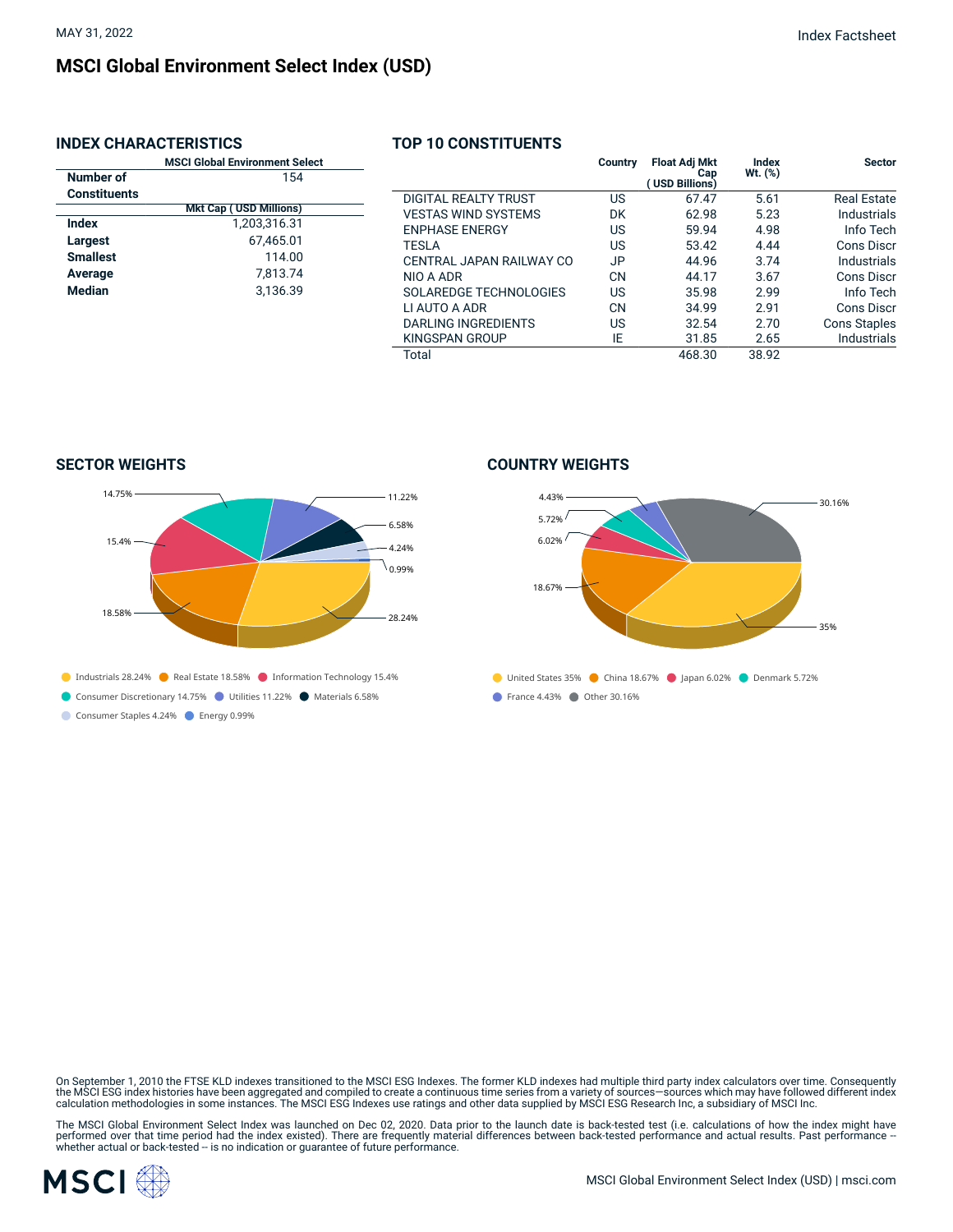## **MSCI Global Environment Select Index (USD)**

## **INDEX CHARACTERISTICS**

|                     | <b>MSCI Global Environment Select</b> |  |  |  |  |  |  |
|---------------------|---------------------------------------|--|--|--|--|--|--|
| Number of           | 154                                   |  |  |  |  |  |  |
| <b>Constituents</b> |                                       |  |  |  |  |  |  |
|                     | <b>Mkt Cap (USD Millions)</b>         |  |  |  |  |  |  |
| Index               | 1,203,316.31                          |  |  |  |  |  |  |
| <b>Largest</b>      | 67.465.01                             |  |  |  |  |  |  |
| <b>Smallest</b>     | 114.00                                |  |  |  |  |  |  |
| Average             | 7.813.74                              |  |  |  |  |  |  |
| <b>Median</b>       | 3.136.39                              |  |  |  |  |  |  |
|                     |                                       |  |  |  |  |  |  |
|                     |                                       |  |  |  |  |  |  |

## **TOP 10 CONSTITUENTS**

|                               | Country   | <b>Float Adj Mkt</b><br>Cap<br>(USD Billions) | Index<br>Wt. (%) | <b>Sector</b>      |
|-------------------------------|-----------|-----------------------------------------------|------------------|--------------------|
| DIGITAL REALTY TRUST          | US        | 67.47                                         | 5.61             | <b>Real Estate</b> |
| <b>VESTAS WIND SYSTEMS</b>    | DK        | 62.98                                         | 5.23             | Industrials        |
| <b>ENPHASE ENERGY</b>         | US        | 59.94                                         | 4.98             | Info Tech          |
| <b>TESLA</b>                  | US        | 53.42                                         | 4.44             | Cons Discr         |
| CENTRAL JAPAN RAILWAY CO      | JP        | 44.96                                         | 3.74             | Industrials        |
| NIO A ADR                     | <b>CN</b> | 44.17                                         | 3.67             | Cons Discr         |
| <b>SOLAREDGE TECHNOLOGIES</b> | US        | 35.98                                         | 2.99             | Info Tech          |
| LI AUTO A ADR                 | CN        | 34.99                                         | 2.91             | Cons Discr         |
| DARLING INGREDIENTS           | US        | 32.54                                         | 2.70             | Cons Staples       |
| KINGSPAN GROUP                | ΙE        | 31.85                                         | 2.65             | Industrials        |
| Total                         |           | 468.30                                        | 38.92            |                    |

**SECTOR WEIGHTS**



Consumer Discretionary 14.75% Utilities 11.22% Materials 6.58%

Consumer Staples 4.24% Energy 0.99%

#### **COUNTRY WEIGHTS**



On September 1, 2010 the FTSE KLD indexes transitioned to the MSCI ESG Indexes. The former KLD indexes had multiple third party index calculators over time. Consequently the MSCI ESG index histories have been aggregated and compiled to create a continuous time series from a variety of sources—sources which may have followed different index<br>calculation methodologies in some instances. The M

The MSCI Global Environment Select Index was launched on Dec 02, 2020. Data prior to the launch date is back-tested test (i.e. calculations of how the index might have<br>performed over that time period had the index existed)